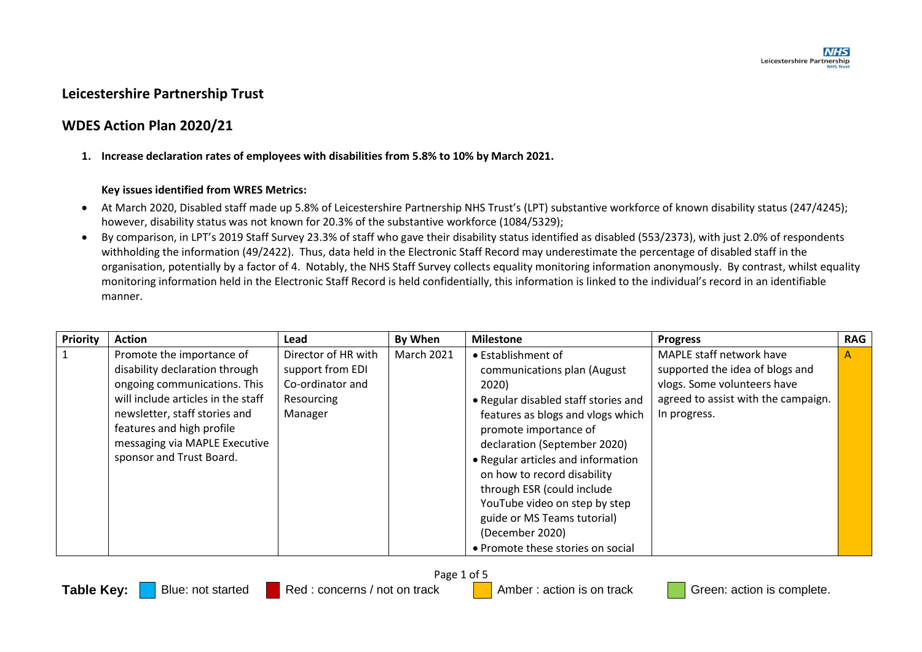# **Leicestershire Partnership Trust**

# **WDES Action Plan 2020/21**

**1. Increase declaration rates of employees with disabilities from 5.8% to 10% by March 2021.**

### **Key issues identified from WRES Metrics:**

- At March 2020, Disabled staff made up 5.8% of Leicestershire Partnership NHS Trust's (LPT) substantive workforce of known disability status (247/4245); however, disability status was not known for 20.3% of the substantive workforce (1084/5329);
- By comparison, in LPT's 2019 Staff Survey 23.3% of staff who gave their disability status identified as disabled (553/2373), with just 2.0% of respondents withholding the information (49/2422). Thus, data held in the Electronic Staff Record may underestimate the percentage of disabled staff in the organisation, potentially by a factor of 4. Notably, the NHS Staff Survey collects equality monitoring information anonymously. By contrast, whilst equality monitoring information held in the Electronic Staff Record is held confidentially, this information is linked to the individual's record in an identifiable manner.

| Priority | <b>Action</b>                      | Lead                | By When           | <b>Milestone</b>                     | <b>Progress</b>                     | <b>RAG</b> |
|----------|------------------------------------|---------------------|-------------------|--------------------------------------|-------------------------------------|------------|
|          | Promote the importance of          | Director of HR with | <b>March 2021</b> | • Establishment of                   | MAPLE staff network have            | A          |
|          | disability declaration through     | support from EDI    |                   | communications plan (August          | supported the idea of blogs and     |            |
|          | ongoing communications. This       | Co-ordinator and    |                   | 2020)                                | vlogs. Some volunteers have         |            |
|          | will include articles in the staff | Resourcing          |                   | • Regular disabled staff stories and | agreed to assist with the campaign. |            |
|          | newsletter, staff stories and      | Manager             |                   | features as blogs and vlogs which    | In progress.                        |            |
|          | features and high profile          |                     |                   | promote importance of                |                                     |            |
|          | messaging via MAPLE Executive      |                     |                   | declaration (September 2020)         |                                     |            |
|          | sponsor and Trust Board.           |                     |                   | • Regular articles and information   |                                     |            |
|          |                                    |                     |                   | on how to record disability          |                                     |            |
|          |                                    |                     |                   | through ESR (could include           |                                     |            |
|          |                                    |                     |                   | YouTube video on step by step        |                                     |            |
|          |                                    |                     |                   | guide or MS Teams tutorial)          |                                     |            |
|          |                                    |                     |                   | (December 2020)                      |                                     |            |
|          |                                    |                     |                   | • Promote these stories on social    |                                     |            |

Page 1 of 5

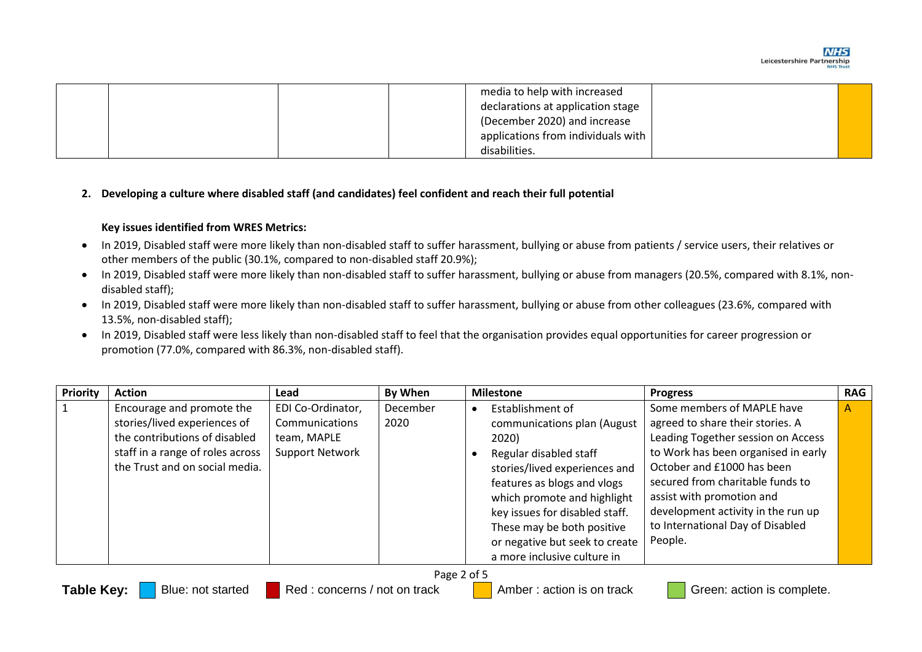

|  |  | media to help with increased       |  |
|--|--|------------------------------------|--|
|  |  | declarations at application stage  |  |
|  |  | (December 2020) and increase       |  |
|  |  | applications from individuals with |  |
|  |  | disabilities.                      |  |

#### **2. Developing a culture where disabled staff (and candidates) feel confident and reach their full potential**

#### **Key issues identified from WRES Metrics:**

- In 2019, Disabled staff were more likely than non-disabled staff to suffer harassment, bullying or abuse from patients / service users, their relatives or other members of the public (30.1%, compared to non-disabled staff 20.9%);
- In 2019, Disabled staff were more likely than non-disabled staff to suffer harassment, bullying or abuse from managers (20.5%, compared with 8.1%, nondisabled staff);
- In 2019, Disabled staff were more likely than non-disabled staff to suffer harassment, bullying or abuse from other colleagues (23.6%, compared with 13.5%, non-disabled staff);
- In 2019, Disabled staff were less likely than non-disabled staff to feel that the organisation provides equal opportunities for career progression or promotion (77.0%, compared with 86.3%, non-disabled staff).

| Priority | <b>Action</b>                                                                                                                                                    | Lead                                                                         | By When          | <b>Milestone</b><br><b>Progress</b>                                                                                                                                                                                                                                                                                                                                                                                                                                                                                                                                                                                                                   | <b>RAG</b>   |
|----------|------------------------------------------------------------------------------------------------------------------------------------------------------------------|------------------------------------------------------------------------------|------------------|-------------------------------------------------------------------------------------------------------------------------------------------------------------------------------------------------------------------------------------------------------------------------------------------------------------------------------------------------------------------------------------------------------------------------------------------------------------------------------------------------------------------------------------------------------------------------------------------------------------------------------------------------------|--------------|
|          | Encourage and promote the<br>stories/lived experiences of<br>the contributions of disabled<br>staff in a range of roles across<br>the Trust and on social media. | EDI Co-Ordinator,<br>Communications<br>team, MAPLE<br><b>Support Network</b> | December<br>2020 | Some members of MAPLE have<br>Establishment of<br>agreed to share their stories. A<br>communications plan (August<br>Leading Together session on Access<br>2020)<br>to Work has been organised in early<br>Regular disabled staff<br>October and £1000 has been<br>stories/lived experiences and<br>secured from charitable funds to<br>features as blogs and vlogs<br>assist with promotion and<br>which promote and highlight<br>development activity in the run up<br>key issues for disabled staff.<br>to International Day of Disabled<br>These may be both positive<br>People.<br>or negative but seek to create<br>a more inclusive culture in | $\mathsf{A}$ |
|          |                                                                                                                                                                  |                                                                              |                  | $\sim$ $\sim$                                                                                                                                                                                                                                                                                                                                                                                                                                                                                                                                                                                                                                         |              |

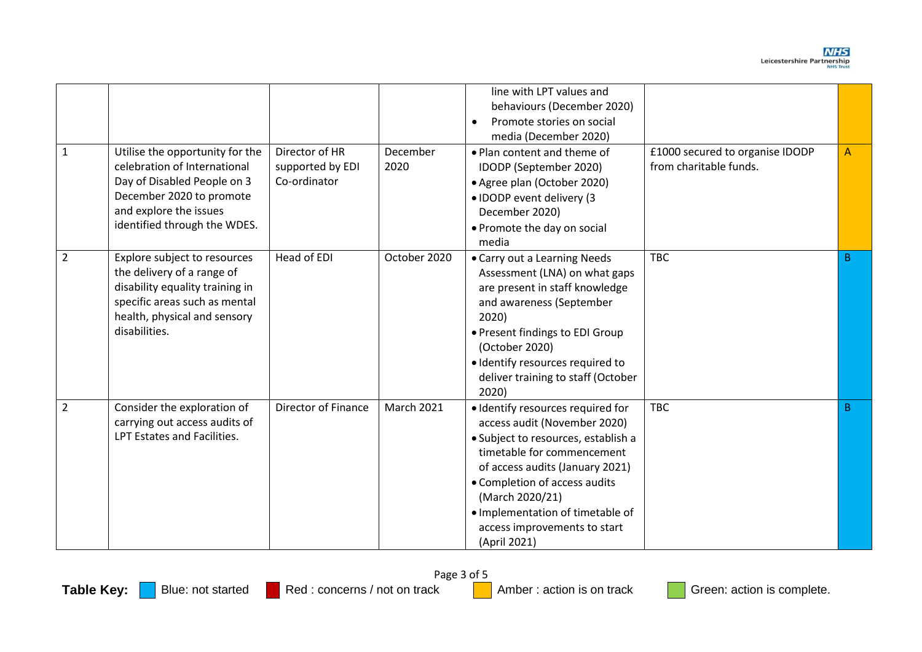| $\mathbf{1}$   | Utilise the opportunity for the<br>celebration of International<br>Day of Disabled People on 3<br>December 2020 to promote<br>and explore the issues<br>identified through the WDES. | Director of HR<br>supported by EDI<br>Co-ordinator | December<br>2020  | line with LPT values and<br>behaviours (December 2020)<br>Promote stories on social<br>$\bullet$<br>media (December 2020)<br>. Plan content and theme of<br>IDODP (September 2020)<br>• Agree plan (October 2020)<br>• IDODP event delivery (3<br>December 2020)<br>• Promote the day on social<br>media          | £1000 secured to organise IDODP<br>from charitable funds. | A            |
|----------------|--------------------------------------------------------------------------------------------------------------------------------------------------------------------------------------|----------------------------------------------------|-------------------|-------------------------------------------------------------------------------------------------------------------------------------------------------------------------------------------------------------------------------------------------------------------------------------------------------------------|-----------------------------------------------------------|--------------|
| $\overline{2}$ | Explore subject to resources<br>the delivery of a range of<br>disability equality training in<br>specific areas such as mental<br>health, physical and sensory<br>disabilities.      | Head of EDI                                        | October 2020      | • Carry out a Learning Needs<br>Assessment (LNA) on what gaps<br>are present in staff knowledge<br>and awareness (September<br>2020)<br>• Present findings to EDI Group<br>(October 2020)<br>· Identify resources required to<br>deliver training to staff (October<br>2020)                                      | <b>TBC</b>                                                | B            |
| $\overline{2}$ | Consider the exploration of<br>carrying out access audits of<br>LPT Estates and Facilities.                                                                                          | Director of Finance                                | <b>March 2021</b> | · Identify resources required for<br>access audit (November 2020)<br>· Subject to resources, establish a<br>timetable for commencement<br>of access audits (January 2021)<br>• Completion of access audits<br>(March 2020/21)<br>· Implementation of timetable of<br>access improvements to start<br>(April 2021) | <b>TBC</b>                                                | <sub>B</sub> |

Page 3 of 5<br>Red : concerns / not on track Table Key: **Blue: not started Red : concerns / not on track** Amber : action is on track Green: action is complete.

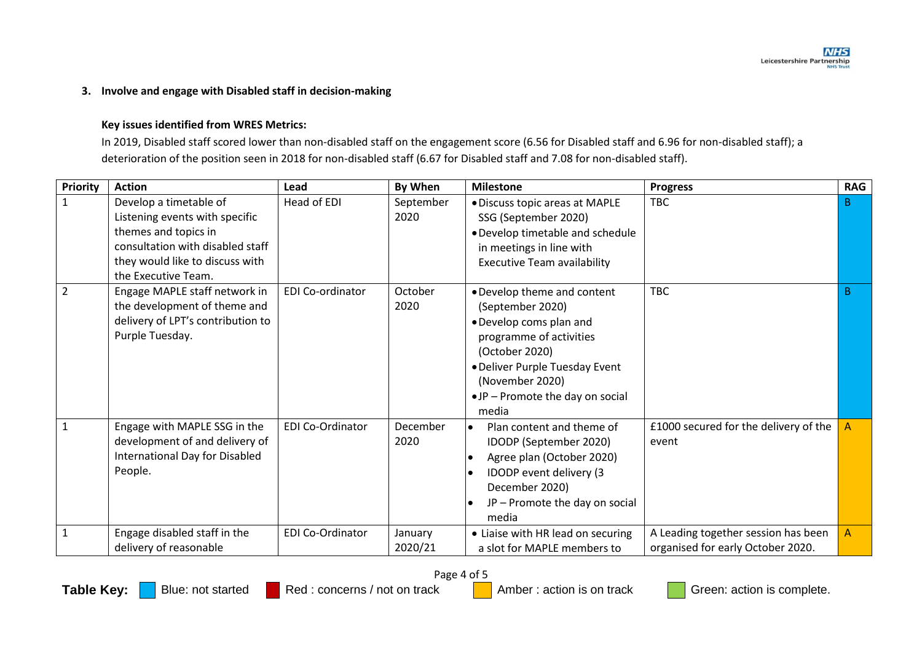## **3. Involve and engage with Disabled staff in decision-making**

### **Key issues identified from WRES Metrics:**

In 2019, Disabled staff scored lower than non-disabled staff on the engagement score (6.56 for Disabled staff and 6.96 for non-disabled staff); a deterioration of the position seen in 2018 for non-disabled staff (6.67 for Disabled staff and 7.08 for non-disabled staff).

| <b>Priority</b> | <b>Action</b>                                                                                                                                                                  | Lead                    | By When            | <b>Milestone</b>                                                                                                                                                                                                         | <b>Progress</b>                                                          | <b>RAG</b>     |
|-----------------|--------------------------------------------------------------------------------------------------------------------------------------------------------------------------------|-------------------------|--------------------|--------------------------------------------------------------------------------------------------------------------------------------------------------------------------------------------------------------------------|--------------------------------------------------------------------------|----------------|
| $\mathbf{1}$    | Develop a timetable of<br>Listening events with specific<br>themes and topics in<br>consultation with disabled staff<br>they would like to discuss with<br>the Executive Team. | Head of EDI             | September<br>2020  | • Discuss topic areas at MAPLE<br>SSG (September 2020)<br>. Develop timetable and schedule<br>in meetings in line with<br><b>Executive Team availability</b>                                                             | <b>TBC</b>                                                               | B              |
| $\overline{2}$  | Engage MAPLE staff network in<br>the development of theme and<br>delivery of LPT's contribution to<br>Purple Tuesday.                                                          | EDI Co-ordinator        | October<br>2020    | . Develop theme and content<br>(September 2020)<br>• Develop coms plan and<br>programme of activities<br>(October 2020)<br>• Deliver Purple Tuesday Event<br>(November 2020)<br>•JP - Promote the day on social<br>media | <b>TBC</b>                                                               | B              |
|                 | Engage with MAPLE SSG in the<br>development of and delivery of<br>International Day for Disabled<br>People.                                                                    | EDI Co-Ordinator        | December<br>2020   | Plan content and theme of<br>$\bullet$<br>IDODP (September 2020)<br>Agree plan (October 2020)<br>IDODP event delivery (3<br>December 2020)<br>JP - Promote the day on social<br>media                                    | £1000 secured for the delivery of the<br>event                           |                |
| $\mathbf{1}$    | Engage disabled staff in the<br>delivery of reasonable                                                                                                                         | <b>EDI Co-Ordinator</b> | January<br>2020/21 | • Liaise with HR lead on securing<br>a slot for MAPLE members to                                                                                                                                                         | A Leading together session has been<br>organised for early October 2020. | $\overline{A}$ |

Page 4 of 5